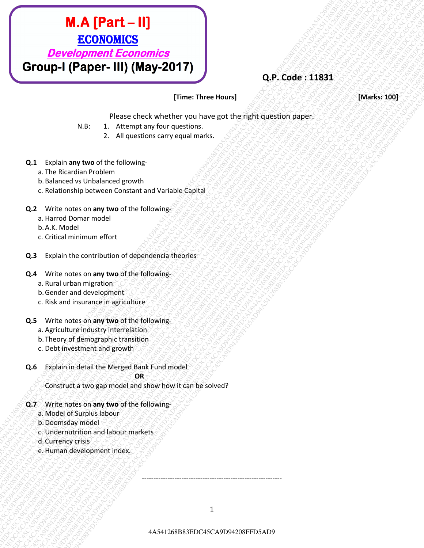# **M.A. [Part – III]**<br> *ECONOMICS*<br> *Development Economics*<br> **STOLID-1 (Paper – IIII) (May-2017)**<br>
<br> **CA** 3 Paper and y (May-2017)<br> **ECONOMICS**<br> **EXECUTE:**<br> **CA** 4 Paper and y and the station and the station and the station **M.A. (Part – II)**<br> **ECONOMICS**<br>
COVERCIPATE CONVERTIBOTION<br>
THE COVERCIPATE CONVERTIBOTION<br>
NAST THE COVERCIPATE CONVERTIBOTION CONVERTIBOTION<br>
NAST THE COVERCIPATE CONVERTIBOTION CONVERTIBOTION CONVERTIBOTION<br>
2. Let the **EXAMPLET - III)**<br> **SCONDATGS**<br> **Group-1 (Paper- III) (May-2017)**<br>
The code is 13831<br>
<br>
We introduce the internet between the second the second the second the second the second the second the second the second the second t **4A.A [Part - II]**<br> **ECONOMICS**<br> **ECONOMICS**<br> **ECONOMICS**<br> **ECONOMICS**<br> **ECONOMICS**<br> **ECONOMICS**<br> **EXACTES**<br> **EXACTES**<br> **EXACTES**<br> **EXACTES**<br> **EXACTES**<br> **EXACTES**<br> **EXACTES**<br> **EXACTES**<br> **EXACTES**<br> **EXACTES**<br> **EXACTES**<br> **E MAAF12611**<br> *BOYWARDS*<br> **COVID-1 (Paper-Hili) (May-2017)**<br> **COVID-1 (Paper-Hili) (May-2017)**<br> **COVID-1 (Paper-Hili) (May-2017)**<br> **COVID-1 (Paper-Hili) (May-2017)**<br> **COVID-1** (Alternation controlled the international cont 4A541268B83EDC45CA9D94208FFD5AD94A541268B83EDC45CA9D94208FFD5AD94A541268B83EDC45CA9D94208FFD5AD94A541268B83EDC45CA9D94208FFD5AD94A541268B83EDC45CA9D94208FFD5AD94A541268B83EDC45CA9D94208FFD5AD9 4A541268B83EDC45CA9D94208FFD5AD94A541268B83EDC45CA9D94208FFD5AD94A541268B83EDC45CA9D94208FFD5AD94A541268B83EDC45CA9D94208FFD5AD94A541268B83EDC45CA9D94208FFD5AD94A541268B83EDC45CA9D94208FFD5AD9 4A541268B83EDC45CA9D94208FFD5AD94A541268B83EDC45CA9D94208FFD5AD94A541268B83EDC45CA9D94208FFD5AD94A541268B83EDC45CA9D94208FFD5AD94A541268B83EDC45CA9D94208FFD5AD94A541268B83EDC45CA9D94208FFD5AD9 4A541268B83EDC45CA9D94208FFD5AD94A541268B83EDC45CA9D94208FFD5AD94A541268B83EDC45CA9D94208FFD5AD94A541268B83EDC45CA9D94208FFD5AD94A541268B83EDC45CA9D94208FFD5AD94A541268B83EDC45CA9D94208FFD5AD9 4A541268B83EDC45CA9D94208FFD5AD94A541268B83EDC45CA9D94208FFD5AD94A541268B83EDC45CA9D94208FFD5AD94A541268B83EDC45CA9D94208FFD5AD94A541268B83EDC45CA9D94208FFD5AD94A541268B83EDC45CA9D94208FFD5AD9 4A541268B83EDC45CA9D94208FFD5AD94A541268B83EDC45CA9D94208FFD5AD94A541268B83EDC45CA9D94208FFD5AD94A541268B83EDC45CA9D94208FFD5AD94A541268B83EDC45CA9D94208FFD5AD94A541268B83EDC45CA9D94208FFD5AD9 4A541268B83EDC45CA9D94208FFD5AD94A541268B83EDC45CA9D94208FFD5AD94A541268B83EDC45CA9D94208FFD5AD94A541268B83EDC45CA9D94208FFD5AD94A541268B83EDC45CA9D94208FFD5AD94A541268B83EDC45CA9D94208FFD5AD9 4A541268B83EDC45CA9D94208FFD5AD94A541268B83EDC45CA9D94208FFD5AD94A541268B83EDC45CA9D94208FFD5AD94A541268B83EDC45CA9D94208FFD5AD94A541268B83EDC45CA9D94208FFD5AD94A541268B83EDC45CA9D94208FFD5AD9 4A541268B83EDC45CA9D94208FFD5AD94A541268B83EDC45CA9D94208FFD5AD94A541268B83EDC45CA9D94208FFD5AD94A541268B83EDC45CA9D94208FFD5AD94A541268B83EDC45CA9D94208FFD5AD94A541268B83EDC45CA9D94208FFD5AD9 4A541268B83EDC45CA9D94208FFD5AD94A541268B83EDC45CA9D94208FFD5AD94A541268B83EDC45CA9D94208FFD5AD94A541268B83EDC45CA9D94208FFD5AD94A541268B83EDC45CA9D94208FFD5AD94A541268B83EDC45CA9D94208FFD5AD9 **EXECUTION FRACT-HIJ**<br> **EXECUTION FRACTION CONSULS FRACTION FOR ASSAULT CONSULS FOR ASSAULT CONSULS FRACTION CONSULS FRACTION FRACTION CONSULS FRACTION FRACTION CONSULS FRACTION FRACTION CONSULS FRACTION CONSULS FRACTION EXCORDED FRAME - HIJP**<br> **EXCORDED FRAME - EXCORP (MASY-2017)**<br> **COND-HIGHER-HIJP (MASY-2017)**<br>
WELL: THERE TO CASE ONE WAY FOR THE TWO THEOREM CONTINUES TO THE THEOREM CONTINUES TO THE THEOREM CONTINUES TO THE THEOREM CON **EXAMPLE - HIJP ASA [Part - HIJP ASS CA9A)**<br> **EXAMPLE DEVICES**<br> **COVID-1 (Paper - HII) (Mary 2017)**<br>
Three Three Houston<br>
W.E. Branche control and the state of the state of the state of the state of the state of the state **4A. A. [Part = III]**<br>  $\frac{\text{ECONOMLCS}}{\text{GPOUP-1}}$  (**Chaper - IIII)** (**May-2017)**<br>
C. P. Code : 11831<br>
C. P. Code : 11831<br>
C. P. Code : 11831<br>
C. P. Code : 11831<br>
C. P. Code : 11831<br>
C. P. Code : 11831<br>
C. P. Code : 11831<br>
C. **4A.A. [Part – II]**<br>  $\overline{ECONOMMS}$ <br>  $\overline{CPONOMLOS}$ <br>  $\overline{CPONOMLOS}$ <br>  $\overline{CPONOMLOS}$ <br>  $\overline{CPONOMLOS}$ <br>  $\overline{CPONOMLOS}$ <br>  $\overline{CPONOMLOS}$ <br>  $\overline{CPONOMLOS}$ <br>  $\overline{CPONOMLOS}$ <br>  $\overline{CPONOMLOS}$ <br>  $\overline{CPONOMOMO}$ <br>  $\overline{CPONOMOMO}$ <br>  $\overline{CPONOMOMO}$ <br>  $\overline{C$

# **Q.P. Code : 11831**

## **[Time: Three Hours] [Marks: 100]**

Please check whether you have got the right question paper.

- N.B: 1. Attempt any four questions.
	- 2. All questions carry equal marks.
- **Q.1** Explain **any two** of the following
	- a. The Ricardian Problem
	- b.Balanced vs Unbalanced growth
	- c. Relationship between Constant and Variable Capital
- **Q.2** Write notes on **any two** of the following
	- a. Harrod Domar model
	- b.A.K. Model
	- c. Critical minimum effort
- **Q.3** Explain the contribution of dependencia theories
- **Q.4** Write notes on **any two** of the following
	- a. Rural urban migration
	- b.Gender and development
	- c. Risk and insurance in agriculture
- **Q.5** Write notes on **any two** of the following
	- a. Agriculture industry interrelation
	- b. Theory of demographic transition
	- c. Debt investment and growth
- **Q.6** Explain in detail the Merged Bank Fund model

#### **OR SALE AND STAR**

Construct a two gap model and show how it can be solved?

- **Q.7** Write notes on **any two** of the following
	- a. Model of Surplus labour
	- b.Doomsday model
	- c. Undernutrition and labour markets
	- d.Currency crisis
	- e.Human development index.

------------------------------------------------------------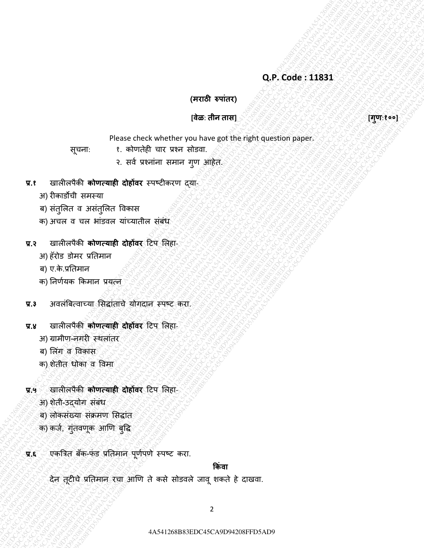**(मराठी रुपाांतर)**

### **[वेळ**: **तीन तास] [गणु** :**१००]**

Please check whether you have got the right question paper.

सूचना: १. कोणतेही चार प्रश्न सोडवा.

- २. सर्व प्रश्नांना समान गुण आहेत.
- **प्र.१** खालीलपȰकी **कोणत्याही दोहोंवर** स्पष्टीकरण द्या-
	- अ) रीकाडोची समस्या
	- ब) संतुलित व असंतुलित विकास
	- क) अचल व चल भांडवल यांच्यातील संबंध
- **प्र.२** खालीलपȰकी **कोणत्याही दोहोंवर** टटप ललहा-
	- अ) हॅरोड डोमर प्रततमान
	- ब) ए.के.प्रतिमान
	- क) निर्णयक किमान प्रयत्न
- **प्र.३** अवलांबबत्वाच्या लसद्ाांताचȯ योगदान स्पष्ट करा.
- **प्र.४** खालीलपȰकी **कोणत्याही दोहोंवर** टटप ललहा-
	- अ) ग्रामीण-नगरी स्थलांतर
	- ब) लिंग व विकास
	- क) शȯतीत धोका व ववमा
- **प्र.५** खालीलपȰकी **कोणत्याही दोहोंवर** टटप ललहा-
	- अ) शेती-उद्योग संबंध
	- ब) लोकसंख्या संक्रमण सिद्धांत
	- क) कर्ज, गुंतवणूक आणि बुद्धि
- **प्र.६** रकत्रित बँक-फंड प्रतिमान पूर्णपणे स्पष्ट करा.

**ककांवा**

42<br>
424 CA9 as a conflict of the state of the state of the state of the state of the state of the state of the state of the state of the state of the state of the state of the state of the state of the state of the state o 424 23 candidate internal and other conducts and a species of the species of the species of the species of the species of the species of the species of the species of the species of the species of the species of the specie Q.P. Code: 113831<br>
(77788-89769)<br>
These conclusively result of exception and conclusively results of exception and conclusively results of the conclusion and conclusion and conclusion and conclusion and conclusion and con 4A541268B83EDC45CA9D94321268B83EDC45CA9D94321268B83EDC45CA9D94208FFD5AD94431268B83EDC45CA9D94208FFD5AD94208FFD5AD94208FFD5AD94208FFD5AD94208FFD5AD94208FFD5AD94208FFD5AD94208FFD5AD94208FFD5AD94208FFD5AD94208FFD5AD94208FFD5 (ATER Wright and The control of the street of the street of the street of the street of the street of the street of the street of the street of the street of the street of the street of the street of the street of the str  $Q,P$  code : 11833<br>  $Q,P$  code : 11833<br>  $QQ=0$ <br>  $QQ=0$ <br>  $QQ=0$ <br>  $QQ=0$ <br>  $QQ=0$ <br>  $QQ=0$ <br>  $QQ=0$ <br>  $QQ=0$ <br>  $QQ=0$ <br>  $QQ=0$ <br>  $QQ=0$ <br>  $QQ=0$ <br>  $QQ=0$ <br>  $QQ=0$ <br>  $QQ=0$ <br>  $QQ=0$ <br>  $QQ=0$ <br>  $QQ=0$ <br>  $QQ=0$ <br>  $QQ=0$ <br>  $QQ=0$ <br>  $QQ=0$ <br>  $QQ=0$ <br>  $Q,P$  code : 11833<br>  $Q,P$  code : 11833<br>  $QQ=0$ <br>  $QQ=0$ <br>  $QQ=0$ <br>  $QQ=0$ <br>  $QQ=0$ <br>  $QQ=0$ <br>  $QQ=0$ <br>  $QQ=0$ <br>  $QQ=0$ <br>  $QQ=0$ <br>  $QQ=0$ <br>  $QQ=0$ <br>  $QQ=0$ <br>  $QQ=0$ <br>  $QQ=0$ <br>  $QQ=0$ <br>  $QQ=0$ <br>  $QQ=0$ <br>  $QQ=0$ <br>  $QQ=0$ <br>  $QQ=0$ <br>  $QQ=0$ <br>  $QQ=0$ <br>  $Q,P$  code : 11833<br>  $Q,P$  code : 11833<br>  $QQ=0$ <br>  $QQ=0$ <br>  $QQ=0$ <br>  $QQ=0$ <br>  $QQ=0$ <br>  $QQ=0$ <br>  $QQ=0$ <br>  $QQ=0$ <br>  $QQ=0$ <br>  $QQ=0$ <br>  $QQ=0$ <br>  $QQ=0$ <br>  $QQ=0$ <br>  $QQ=0$ <br>  $QQ=0$ <br>  $QQ=0$ <br>  $QQ=0$ <br>  $QQ=0$ <br>  $QQ=0$ <br>  $QQ=0$ <br>  $QQ=0$ <br>  $QQ=0$ <br>  $QQ=0$ <br>  $Q,P$  code : 11833<br>  $Q,P$  code : 11833<br>  $QQ=0$ <br>  $QQ=0$ <br>  $QQ=0$ <br>  $QQ=0$ <br>  $QQ=0$ <br>  $QQ=0$ <br>  $QQ=0$ <br>  $QQ=0$ <br>  $QQ=0$ <br>  $QQ=0$ <br>  $QQ=0$ <br>  $QQ=0$ <br>  $QQ=0$ <br>  $QQ=0$ <br>  $QQ=0$ <br>  $QQ=0$ <br>  $QQ=0$ <br>  $QQ=0$ <br>  $QQ=0$ <br>  $QQ=0$ <br>  $QQ=0$ <br>  $QQ=0$ <br>  $QQ=0$ <br>  $Q,P$  code : 11833<br>  $Q,P$  code : 11833<br>  $QQ=0$ <br>  $QQ=0$ <br>  $QQ=0$ <br>  $QQ=0$ <br>  $QQ=0$ <br>  $QQ=0$ <br>  $QQ=0$ <br>  $QQ=0$ <br>  $QQ=0$ <br>  $QQ=0$ <br>  $QQ=0$ <br>  $QQ=0$ <br>  $QQ=0$ <br>  $QQ=0$ <br>  $QQ=0$ <br>  $QQ=0$ <br>  $QQ=0$ <br>  $QQ=0$ <br>  $QQ=0$ <br>  $QQ=0$ <br>  $QQ=0$ <br>  $QQ=0$ <br>  $QQ=0$ <br>  $Q,P$  code : 11833<br>  $Q,P$  code : 11833<br>  $QQ=0$ <br>  $QQ=0$ <br>  $QQ=0$ <br>  $QQ=0$ <br>  $QQ=0$ <br>  $QQ=0$ <br>  $QQ=0$ <br>  $QQ=0$ <br>  $QQ=0$ <br>  $QQ=0$ <br>  $QQ=0$ <br>  $QQ=0$ <br>  $QQ=0$ <br>  $QQ=0$ <br>  $QQ=0$ <br>  $QQ=0$ <br>  $QQ=0$ <br>  $QQ=0$ <br>  $QQ=0$ <br>  $QQ=0$ <br>  $QQ=0$ <br>  $QQ=0$ <br>  $QQ=0$ <br>  $Q,P$  code : 11833<br>  $Q,P$  code : 11833<br>  $QQ=0$ <br>  $QQ=0$ <br>  $QQ=0$ <br>  $QQ=0$ <br>  $QQ=0$ <br>  $QQ=0$ <br>  $QQ=0$ <br>  $QQ=0$ <br>  $QQ=0$ <br>  $QQ=0$ <br>  $QQ=0$ <br>  $QQ=0$ <br>  $QQ=0$ <br>  $QQ=0$ <br>  $QQ=0$ <br>  $QQ=0$ <br>  $QQ=0$ <br>  $QQ=0$ <br>  $QQ=0$ <br>  $QQ=0$ <br>  $QQ=0$ <br>  $QQ=0$ <br>  $QQ=0$ <br>  $Q,P$  code : 11833<br>  $Q,P$  code : 11833<br>  $QQ=0$ <br>  $QQ=0$ <br>  $QQ=0$ <br>  $QQ=0$ <br>  $QQ=0$ <br>  $QQ=0$ <br>  $QQ=0$ <br>  $QQ=0$ <br>  $QQ=0$ <br>  $QQ=0$ <br>  $QQ=0$ <br>  $QQ=0$ <br>  $QQ=0$ <br>  $QQ=0$ <br>  $QQ=0$ <br>  $QQ=0$ <br>  $QQ=0$ <br>  $QQ=0$ <br>  $QQ=0$ <br>  $QQ=0$ <br>  $QQ=0$ <br>  $QQ=0$ <br>  $QQ=0$ <br> 4A54126883<br>
4A54126 FFD5AD94208FFD6AD94208FFD5AD94208FFD5AD94208FFD5AD94208FFD5AD94208FFD5AD94208FFD5AD94208FFD5AD94208FFD5AD94208FFD5AD94208FFD5AD94208FFD5AD94208FFD5AD94208FFD5AD94208FFD5AD94208FFD5AD94208FFD5AD94208FFD (And the state of the state of the state of the state of the state of the state of the state of the state of the state of the state of the state of the state of the state of the state of the state of the state of the stat 424 CA9P943 FFD5AD943883<br>434126 FFD5AD9488 B835<br>434126 FFD5AD441268 B835<br>434126 FFD5AD441268 B835<br>4341268 B835 CA9D441268 B835 CA9D4 B835 CA9D441268 PROSECA9D94<br>4311268 B835 CA9D94208 B835 CA9D44126 EDC45CA9D94208<br>4311268 Q.P. Code : 118831<br>  $\left( \frac{3}{2} \right)$ <br>  $\left( \frac{3}{2} \right)$ <br>  $\left( \frac{3}{2} \right)$ <br>  $\left( \frac{3}{2} \right)$ <br>  $\left( \frac{3}{2} \right)$ <br>  $\left( \frac{3}{2} \right)$ <br>  $\left( \frac{3}{2} \right)$ <br>  $\left( \frac{3}{2} \right)$ <br>  $\left( \frac{3}{2} \right)$ <br>  $\left( \frac{3}{2} \right)$ <br>  $\left( \frac{3}{2} \right)$ <br>  $\left( \frac{3}{2} \right)$  $Q, P. Code : 11831$ <br>  $Q, P. Code : 11831$ <br>  $Hase A443R3$ <br>  $Hase A454R3R3$ <br>  $Hase A454R3R3R4$ <br>  $Hage B454R3R4$ <br>  $Hage B454R4R4$ <br>  $Hage B454R4R4$ <br>  $Hage B454R4R4$ <br>  $Hage B454R4R4$ <br>  $Hage B454R4R4$ <br>  $Hage B454R4R4$ <br>  $Hage B454R4R4$ <br>  $Hage B454R4R4$ <br>  $Hage B454R4R4$ <br>  $Hage B454$ 42 control of the state of the state of the state of the state of the state of the state of the state of the state of the state of the state of the state of the state of the state of the state of the state of the state o 42A641268B83<br>
42A541268FFD5AD94208FFD6AD94208FFD6AD9420<br>
4<br>
4 FFD5AD9438 EDC45CA9D9420<br>
4 FFD5AD9438 EDC45CA9D942<br>
4 FFD5AD9441268 EDC45CA9D942<br>
4 FFD5AD9441268 EDC45CA9D94<br>
4 FFD6AD948 EDC45CA9D94<br>
4 FFD6AD948 EDC45CA9D देन तूटीचे प्रतिमान रचा आणि ते कसे सोडवले जावू शकते हे दाखवा.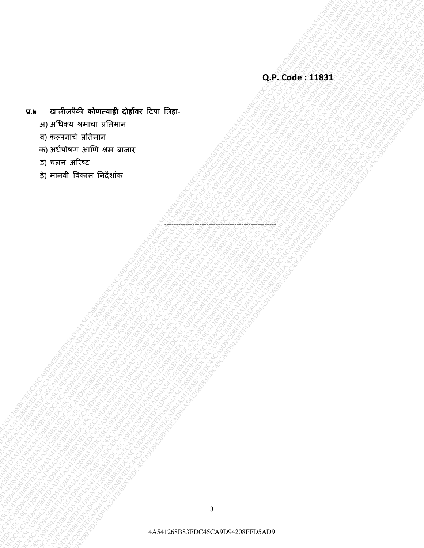- 4A541268B83EDC45CA9D94208FFD5AD94A541268B83EDC45CA9D94208FFD5AD94A541268B83EDC45CA9D94208FFD5AD94A541268B83EDC45CA9D94208FFD5AD94A541268B83EDC45CA9D94208FFD5AD94A541268B83EDC45CA9D94208FFD5AD9 4A541268B83EDC45CA9D94208FFD5AD94A541268B83EDC45CA9D94208FFD5AD94A541268B83EDC45CA9D94208FFD5AD94A541268B83EDC45CA9D94208FFD5AD94A541268B83EDC45CA9D94208FFD5AD94A541268B83EDC45CA9D94208FFD5AD9 4A541268B83EDC45CA9D94208FFD5AD94A541268B83EDC45CA9D94208FFD5AD94A541268B83EDC45CA9D94208FFD5AD94A541268B83EDC45CA9D94208FFD5AD94A541268B83EDC45CA9D94208FFD5AD94A541268B83EDC45CA9D94208FFD5AD9 4A541268B83EDC45CA9D94208FFD5AD94A541268B83EDC45CA9D94208FFD5AD94A541268B83EDC45CA9D94208FFD5AD94A541268B83EDC45CA9D94208FFD5AD94A541268B83EDC45CA9D94208FFD5AD94A541268B83EDC45CA9D94208FFD5AD9 4A541268B83EDC45CA9D94208FFD5AD94A541268B83EDC45CA9D94208FFD5AD94A541268B83EDC45CA9D94208FFD5AD94A541268B83EDC45CA9D94208FFD5AD94A541268B83EDC45CA9D94208FFD5AD94A541268B83EDC45CA9D94208FFD5AD9 4A541268B83EDC45CA9D94208FFD5AD94A541268B83EDC45CA9D94208FFD5AD94A541268B83EDC45CA9D94208FFD5AD94A541268B83EDC45CA9D94208FFD5AD94A541268B83EDC45CA9D94208FFD5AD94A541268B83EDC45CA9D94208FFD5AD9 4A541268B83EDC45CA9D94208FFD5AD94A541268B83EDC45CA9D94208FFD5AD94A541268B83EDC45CA9D94208FFD5AD94A541268B83EDC45CA9D94208FFD5AD94A541268B83EDC45CA9D94208FFD5AD94A541268B83EDC45CA9D94208FFD5AD9 4A541268B83EDC45CA9D94208FFD5AD94A541268B83EDC45CA9D94208FFD5AD94A541268B83EDC45CA9D94208FFD5AD94A541268B83EDC45CA9D94208FFD5AD94A541268B83EDC45CA9D94208FFD5AD94A541268B83EDC45CA9D94208FFD5AD9 4A541268B83EDC45CA9D94208FFD5AD94A541268B83EDC45CA9D94208FFD5AD94A541268B83EDC45CA9D94208FFD5AD94A541268B83EDC45CA9D94208FFD5AD94A541268B83EDC45CA9D94208FFD5AD94A541268B83EDC45CA9D94208FFD5AD9 4A541268B83EDC45CA9D94208FFD5AD94A541268B83EDC45CA9D94208FFD5AD94A541268B83EDC45CA9D94208FFD5AD94A541268B83EDC45CA9D94208FFD5AD94A541268B83EDC45CA9D94208FFD5AD94A541268B83EDC45CA9D94208FFD5AD9 4A541268B83EDC45CA9D94208FFD5AD94A541268B83EDC45CA9D94208FFD5AD94A541268B83EDC45CA9D94208FFD5AD94A541268B83EDC45CA9D94208FFD5AD94A541268B83EDC45CA9D94208FFD5AD94A541268B83EDC45CA9D94208FFD5AD9 4A541268B83EDC45CA9D94208FFD5AD94A541268B83EDC45CA9D94208FFD5AD94A541268B83EDC45CA9D94208FFD5AD94A541268B83EDC45CA9D94208FFD5AD94A541268B83EDC45CA9D94208FFD5AD94A541268B83EDC45CA9D94208FFD5AD9 4A541268B83EDC45CA9D94208FFD5AD94A541268B83EDC45CA9D94208FFD5AD94A541268B83EDC45CA9D94208FFD5AD94A541268B83EDC45CA9D94208FFD5AD94A541268B83EDC45CA9D94208FFD5AD94A541268B83EDC45CA9D94208FFD5AD9 4A541268B83EDC45CA9D94208FFD5AD94A541268B83EDC45CA9D94208FFD5AD94A541268B83EDC45CA9D94208FFD5AD94A541268B83EDC45CA9D94208FFD5AD94A541268B83EDC45CA9D94208FFD5AD94A541268B83EDC45CA9D94208FFD5AD9 4A541268B83EDC45CA9D94208FFD5AD94A541268B83EDC45CA9D94208FFD5AD94A541268B83EDC45CA9D94208FFD5AD94A541268B83EDC45CA9D94208FFD5AD94A541268B83EDC45CA9D94208FFD5AD94A541268B83EDC45CA9D94208FFD5AD9 4A541268B83EDC45CA9D94208FFD5AD94A541268B83EDC45CA9D94208FFD5AD94A541268B83EDC45CA9D94208FFD5AD94A541268B83EDC45CA9D94208FFD5AD94A541268B83EDC45CA9D94208FFD5AD94A541268B83EDC45CA9D94208FFD5AD9 4A541268B83EDC45CA9D94208FFD5AD94A541268B83EDC45CA9D94208FFD5AD94A541268B83EDC45CA9D94208FFD5AD94A541268B83EDC45CA9D94208FFD5AD94A541268B83EDC45CA9D94208FFD5AD94A541268B83EDC45CA9D94208FFD5AD9 4A541268B83EDC45CA9D94208FFD5AD94A541268B83EDC45CA9D94208FFD5AD94A541268B83EDC45CA9D94208FFD5AD94A541268B83EDC45CA9D94208FFD5AD94A541268B83EDC45CA9D94208FFD5AD94A541268B83EDC45CA9D94208FFD5AD9 4A541268B83EDC45CA9D94208FFD5AD94A541268B83EDC45CA9D94208FFD5AD94A541268B83EDC45CA9D94208FFD5AD94A541268B83EDC45CA9D94208FFD5AD94A541268B83EDC45CA9D94208FFD5AD94A541268B83EDC45CA9D94208FFD5AD9 4A541268B83EDC45CA9D94208FFD5AD94A541268B83EDC45CA9D94208FFD5AD94A541268B83EDC45CA9D94208FFD5AD94A541268B83EDC45CA9D94208FFD5AD94A541268B83EDC45CA9D94208FFD5AD94A541268B83EDC45CA9D94208FFD5AD9 **प्र.७** खालीलपȰकी **कोणत्याही दोहोंवर** टटपा ललहा-
	- अ) अधधक्य श्रमाचा प्रततमान
	- ब) कल्पनांचे प्रतिमान
	- क) अर्धपोषण आणि श्रम बाजार
	- ड) चलन अरिष्ट
	- ई) मानवी विकास निर्देशांक

------------------------------------------------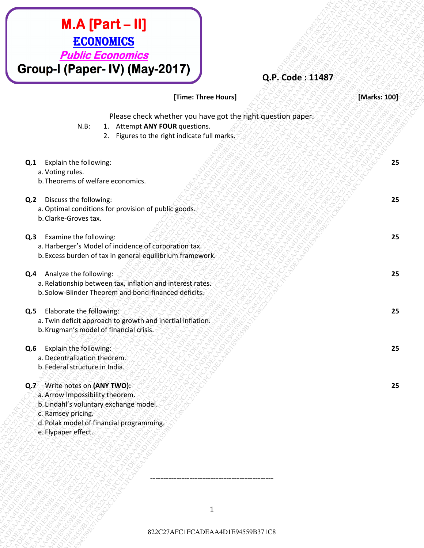| <b>Public Economics</b><br>Group-I (Paper-IV) (May-2017)<br>Q.P. Code: 11487                                                                                                                        |              |
|-----------------------------------------------------------------------------------------------------------------------------------------------------------------------------------------------------|--------------|
| [Time: Three Hours]                                                                                                                                                                                 | [Marks: 100] |
| Please check whether you have got the right question paper.<br>1. Attempt ANY FOUR questions.<br>$N.B$ :<br>2. Figures to the right indicate full marks.                                            |              |
| Explain the following:<br>Q.1<br>a. Voting rules.<br>b. Theorems of welfare economics.                                                                                                              | 25           |
| Discuss the following:<br>Q <sub>2</sub><br>a. Optimal conditions for provision of public goods.<br>b. Clarke-Groves tax.                                                                           | 25           |
| Examine the following:<br>Q.3<br>a. Harberger's Model of incidence of corporation tax.<br>b. Excess burden of tax in general equilibrium framework.                                                 | 25           |
| Analyze the following:<br>Q.4<br>a. Relationship between tax, inflation and interest rates.<br>b. Solow-Blinder Theorem and bond-financed deficits.                                                 | 25           |
| Elaborate the following:<br>Q.5<br>a. Twin deficit approach to growth and inertial inflation.<br>b. Krugman's model of financial crisis.                                                            | 25           |
| Explain the following:<br>Q.6<br>a. Decentralization theorem.<br>b. Federal structure in India.                                                                                                     | 25           |
| Q.7 Write notes on (ANY TWO):<br>a. Arrow Impossibility theorem.<br>b. Lindahl's voluntary exchange model.<br>c. Ramsey pricing.<br>d. Polak model of financial programming.<br>e. Flypaper effect. | 25           |
|                                                                                                                                                                                                     |              |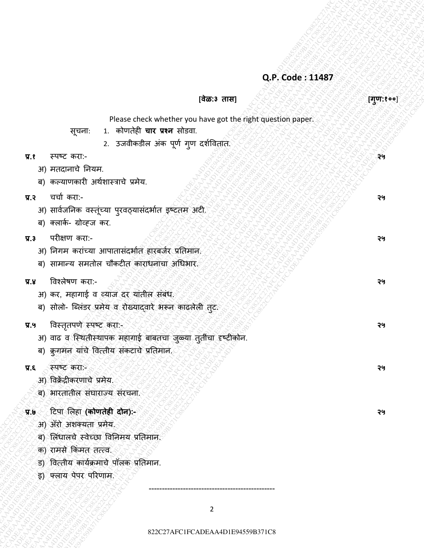### **[वेळ:३ तास] [गण:१०० ु** ]

Please check whether you have got the right question paper.

- सूचना: 1. कोणतेही **चार प्रश्न** सोडवा.
	- 2. उजवीकडील अंक पूर्ण गुण दर्शवितात.
- **प्र.१** स्पष्ट करा:- **२५**
	- अ) मतदानाचे ननयम.
	- ब) कल्याणकारी अर्णर्ास्राचे प्रमेय.
- **प्र.२** चचाण करा:- **२५**
	- अ) सार्वजनिक वस्तूंच्या पुरवठ्यासंदर्भात इष्टतम अटी.
	- ब) क्लार्क- ग्रोव्ह्ज कर.
- **प्र.३** परीक्षण करा:- **२५**
	- अ) निगम करांच्या आपातासंदर्भात हारबर्जर प्रतिमान.
	- ब) सामान्य समतोल चौकटीत काराधनाचा अधिभार.
- **प्र.४** ववश्लेषण करा:- **२५**
	- अ) कर, महागाई व व्हयाज दर यांतील संबंध.
	- ब) सोलो- ब्लिंडर प्रमेय व रोख्याद्वारे भरून काढलेली तट.
- **प्र.५ विस्तृतपणे स्पष्ट करा:- ृ ४५**००० २५०० २५०० २५०० २५०० व्यक्तिस्ट २५० व्यक्तिस्ट २५० व्यक्तिस्ट २५
- **EVALUARY**<br> **EVALUARY (2222)**<br> **EVALUARY CONTENTS (2232)**<br> **EVALUARY CONTENTS (2233)**<br> **EVALUARY CONTENTS (2233)**<br> **EVALUARY CONTENTS (2233)**<br> **EVALUARY CONTENTS (2233)**<br> **EVALUARY CONTENTS (2233)**<br> **EVALUARY CONTENTS (22 8222** C272AFCHADEA<br> **822** C272AFC1FCADEAA<br> **823** C272AFC1FCADEAA4D1E9459B371C8822C27AFC1FCADEAA4D1E9451C27<br> **83** C274 C27 C27<br> **83** C274 C27 C27 C27AFC1FCADEAA A4D C27AFC1FCADEA<br> **93** C27AFC1FCADEAA4D1E9454 B371C882C2<br> QP. Code:11487<br>  $\frac{1}{2}(27.7-27.8)$ <br>  $\frac{1}{2}(27.7-27.8)$ <br>  $\frac{1}{2}(27.7-27.8)$ <br>  $\frac{1}{2}(27.7-27.8)$ <br>  $\frac{1}{2}(27.7-27.8)$ <br>  $\frac{1}{2}(27.7-27.8)$ <br>  $\frac{1}{2}(27.7-27.8)$ <br>  $\frac{1}{2}(27.7-27.8)$ <br>  $\frac{1}{2}(27.7-27.8)$ <br>  $\frac{1}{2}(27.7-27.$ **222** C27AFC1FCADEAA4D1E9459B371C8822C27AFC4D1E9459B371C8822C27AFC1FCADEAA4D1E94559B371C8822C27AFC1FCADEAA4D1E94559B371C882C27AFC1FCADEAA4D1E94559B371C882C27AFC1FCADEAA4D1E94559B371C882C27AFC1FCADEAA4D1E94559B371C882C27AF **Example 22** C27AFCADEAA4D1E9459B371C8822C27AFCADEAA4D1E9459B371C882<br> **Example 23** FCADEAA4D1E9459B371C882C211C882C211C882C211C882C212<br> **Example 23**<br> **Example 23**<br> **Example 23**<br> **Example 23**<br> **Example 23**<br> **Example 23**<br> 822C27AFC1FCADEAA4D1E94559B371C8822C27AFC1FCADEAA4D1E94559B371C8822C27AFC1FCADEAA4D1E94559B371C8822C27AFC1FCADEAA4D1E94559B371C8822C27AFC1FCADEAA4D1E94559B371C8822C27AFC1FCADEAA4D1E94559B371C8 822C27AFC1FCADEAA4D1E94559B371C8822C27AFC1FCADEAA4D1E94559B371C8822C27AFC1FCADEAA4D1E94559B371C8822C27AFC1FCADEAA4D1E94559B371C8822C27AFC1FCADEAA4D1E94559B371C8822C27AFC1FCADEAA4D1E94559B371C8 822C27AFC1FCADEAA4D1E94559B371C8822C27AFC1FCADEAA4D1E94559B371C8822C27AFC1FCADEAA4D1E94559B371C8822C27AFC1FCADEAA4D1E94559B371C8822C27AFC1FCADEAA4D1E94559B371C8822C27AFC1FCADEAA4D1E94559B371C8 822C27AFC1FCADEAA4D1E94559B371C8822C27AFC1FCADEAA4D1E94559B371C8822C27AFC1FCADEAA4D1E94559B371C8822C27AFC1FCADEAA4D1E94559B371C8822C27AFC1FCADEAA4D1E94559B371C8822C27AFC1FCADEAA4D1E94559B371C8 822C27AFC1FCADEAA4D1E94559B371C8822C27AFC1FCADEAA4D1E94559B371C8822C27AFC1FCADEAA4D1E94559B371C8822C27AFC1FCADEAA4D1E94559B371C8822C27AFC1FCADEAA4D1E94559B371C8822C27AFC1FCADEAA4D1E94559B371C8 822C27AFC1FCADEAA4D1E94559B371C8822C27AFC1FCADEAA4D1E94559B371C8822C27AFC1FCADEAA4D1E94559B371C8822C27AFC1FCADEAA4D1E94559B371C8822C27AFC1FCADEAA4D1E94559B371C8822C27AFC1FCADEAA4D1E94559B371C8 822C27AFC1FCADEAA4D1E94559B371C8822C27AFC1FCADEAA4D1E94559B371C8822C27AFC1FCADEAA4D1E94559B371C8822C27AFC1FCADEAA4D1E94559B371C8822C27AFC1FCADEAA4D1E94559B371C8822C27AFC1FCADEAA4D1E94559B371C8 822C27AFC1FCADEAA4D1E94559B371C8822C27AFC1FCADEAA4D1E94559B371C8822C27AFC1FCADEAA4D1E94559B371C8822C27AFC1FCADEAA4D1E94559B371C8822C27AFC1FCADEAA4D1E94559B371C8822C27AFC1FCADEAA4D1E94559B371C8 822C27AFC1FCADEAA4D1E94559B371C8822C27AFC1FCADEAA4D1E94559B371C8822C27AFC1FCADEAA4D1E94559B371C8822C27AFC1FCADEAA4D1E94559B371C8822C27AFC1FCADEAA4D1E94559B371C8822C27AFC1FCADEAA4D1E94559B371C8 **22.** Code: 11487<br> **32.** Code: 11487<br> **32.** The same of the same of the same of the same of the same of the same of the same of the same of the same of the same of the same of the same of the same of the same of the same **22** Code: 11487<br> **822** Code: 11487<br> **822C**<br> **823C27**<br> **83**<br> **83** C27AFC1FCADEA<br> **83** PCREME BRANC<br> **83** PCREME BRANC PRODUCTION AND INTERFERIENCADE AND INTERFERIENCADE AND INTERFERIENCADE AND INTERFERIENCADE AND A SUBSC **222** External of the state of the state of the state of the state of the state of the state of the state of the state of the state of the state of the state of the state of the state of the state of the state of the sta **C27**<br>  $\frac{1}{2}$  C27AFC1FCADEAA<br> **E27AFC1FCADEAA4D1E94559B371C882**<br> **E27AFC1FCADEAA4D1E94559B371C882**<br> **E2**<br> **E27AFC1FCADEAA4D1E94559B371C8822C27AFC1645**<br> **E27AFC1FCADEAA4D1E94559B371C8822C27AFC1645**<br> **E27AFC1FCADEAA4D1E9** 822C27AFC1FCADEAA4D1E94559B371C8822C27AFC1FCADEAA4D1E94559B371C8822C27AFC1FCADEAA4D1E94559B371C8822C27AFC1FCADEAA4D1E94559B371C8822C27AFC1FCADEAA4D1E94559B371C8822C27AFC1FCADEAA4D1E94559B371C8 **822**<br> **822**<br> **822**<br> **822**<br> **823**<br> **823**<br> **823**<br> **823**<br> **823**<br> **823**<br> **823**<br> **824**<br> **824**<br> **824**<br> **824**<br> **824**<br> **824**<br> **824**<br> **824**<br> **824**<br> **824**<br> **824**<br> **824**<br> **824**<br> **824**<br> **824**<br> **824**<br> **824**<br> **824**<br> **824**<br> **824**<br> **824** अ) वाढ व स्थितीस्थापक महागाई बाबतचा जुळ्या ततींचा दृष्टीकोन.
	- ब) क्रुगमन यांचे ववत्तीय संकटाचे प्रनतमान.
	- **प्र.६** स्पष्ट करा:- **२५**
		- अ) ववक्रेंद्रीकरणाचे प्रमेय.
		- ब) भारतातील संघाराज्य संरचना.
	- **प्र.७** टटपा ललहा **(कोणतेही दोन):- २५**
		- अ) अॅरो अशक्यता प्रमेय.
		- ब) लिंधालचे स्वेच्छा विनिमय प्रतिमान.
		- क) रामसे ककंमत तत्त्व.
		- ड) वित्तीय कार्यक्रमाचे पॉलक प्रतिमान.
		- इ) फ्लाय पेपर पररणाम.

2

------------------------------------------------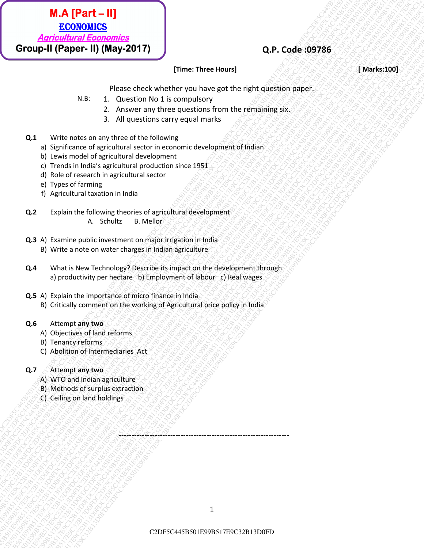

#### **Fime: Three Hours] Example 2008** *Research Marks:1001*

Please check whether you have got the right question paper.

- N.B: 1. Question No 1 is compulsory
	- 2. Answer any three questions from the remaining six.
	- 3. All questions carry equal marks

#### **Q.1** Write notes on any three of the following

- a) Significance of agricultural sector in economic development of Indian
- b) Lewis model of agricultural development
- c) Trends in India's agricultural production since 1951
- d) Role of research in agricultural sector
- e) Types of farming
- f) Agricultural taxation in India
- **Q.2** Explain the following theories of agricultural development A. Schultz B. Mellor
- **Q.3** A) Examine public investment on major irrigation in India B) Write a note on water charges in Indian agriculture
- **Q.4** What is New Technology? Describe its impact on the development through a) productivity per hectare b) Employment of labour c) Real wages

------------------------------------------------------------------

- **Q.5** A) Explain the importance of micro finance in India B) Critically comment on the working of Agricultural price policy in India
- **Q.6** Attempt **any two**
	- A) Objectives of land reforms
	- B) Tenancy reforms
	- C) Abolition of Intermediaries Act

#### **Q.7** Attempt **any two**

- A) WTO and Indian agriculture
- B) Methods of surplus extraction
- C) Ceiling on land holdings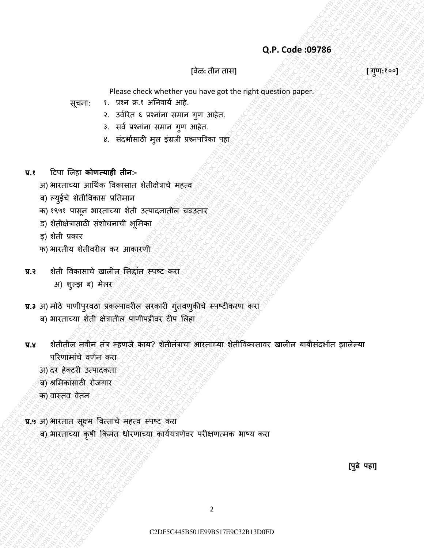## **[**वेळ**:** तीन तास**] [** गणु **:**१००**]**

Please check whether you have got the right question paper.

सूचना: १. प्रश्न क्र.१ अनिवार्य आहे.

- २. उर्वरित ६ प्रश्नांना समान गुण आहेत.
- ३. सर्व प्रश्नांना समान गुण आहेत.
- ४. संदर्भासाठी मुल इंग्रजी प्रश्नपत्रिका पहा
- **प्र.१** टिपा ललहा **कोणत्याही तीन:-**
	- अ) भारताच्या आर्थिक विकासात शेतीक्षेत्राचे महत्व
	- ब) ल्युईचे शेतीविकास प्रतिमान
	- क) १९५१ पासून भारताच्या शेती उत्पादनातील चढउतार
	- ड) शेतीक्षेत्रासाठी संशोधनाची भूमिका
	- इ) शेती प्रकार
	- फ) भारतीय शेतीवरील कर आकारणी
- **प्र.२** शेती विकासाचे खालील सिद्धांत स्पष्ट करा
	- अ) शुल्झ ब) मेलर
- प्र.3 अ) मोठे पाणीपुरवठा प्रकल्पावरील सरकारी गुंतवणुकीचे स्पष्टीकरण करा ब) भारताच्या शेती क्षेत्रातील पाणीपट्टीवर टीप लिहा
- Q.P. Code 399786<br>
(Pass check whether you also a proper state reality quality<br>
space 1. We at 1.4 DPart 3DR<br>
space 3. Substitute of the space of the space of the space of the space of the space of the space of the space o Q.P. Code: 39796<br>
C2DF5C44584501E99B517E9C32B13D0FDC2DF5C445B501E99B17E9C32B13D0FDC2DF5C445B501E99B517E9C32B13D0FDC2DF5C445B5017E97E9C32<br>
2. advertising the strain contempt with contempt with the strain contempt with the Q.P. Code 397865<br>
(376  $\%$  C2DF6<br>
C2DF5<br>
C2DF5C445B517E9C3<br>
C2DF5C445B517E9C3<br>
C2DF5C445B517E9C3<br>
C4DF5C6F9B517E9C3<br>
C4DF5C45B517E9C3<br>
C4DF5C45B517E9C3<br>
C4DF5C45B517E9C3<br>
C4DF5C45B517E9C3<br>
C4DF5C45B517E9C3<br>
C4DF5C45B517E Q.P. Code 89786<br>
Press check whether you have got the energy applies<br>
space of the set of starts and equal of the<br>
set of the set of starts and equal of the set of the set of the set of the set of the set of the set of th C2DF5C445B501E99B517E9C32B13D0FDC2DF5C445B501E99B517E9C32B13D0FDC2DF5C445B501E99B517E9C32B13D0FDC2DF5C445B501E99B517E9C32B13D0FDC2DF5C445B501E99B517E9C32B13D0FDC2DF5C445B501E99B517E9C32B13D0FD Q.P. Code 399786<br>
(Pass decrease of the second scheme of the second scheme of the second scheme of the second scheme of the second scheme of the second scheme of the second scheme of the second scheme of the second scheme C2DF5C445B501E99B517E9C32B13D0FDC2DF5C445B501E99B517E9C32B13D0FDC2DF5C445B501E99B517E9C32B13D0FDC2DF5C445B501E99B517E9C32B13D0FDC2DF5C445B501E99B517E9C32B13D0FDC2DF5C445B501E99B517E9C32B13D0FD C2DF5C445B501E99B517E9C32B13D0FDC2DF5C445B501E99B517E9C32B13D0FDC2DF5C445B501E99B517E9C32B13D0FDC2DF5C445B501E99B517E9C32B13D0FDC2DF5C445B501E99B517E9C32B13D0FDC2DF5C445B501E99B517E9C32B13D0FD C2DF5C445B501E99B517E9C32B13D0FDC2DF5C445B501E99B517E9C32B13D0FDC2DF5C445B501E99B517E9C32B13D0FDC2DF5C445B501E99B517E9C32B13D0FDC2DF5C445B501E99B517E9C32B13D0FDC2DF5C445B501E99B517E9C32B13D0FD C2DF5C445B501E99B517E9C32B13D0FDC2DF5C445B501E99B517E9C32B13D0FDC2DF5C445B501E99B517E9C32B13D0FDC2DF5C445B501E99B517E9C32B13D0FDC2DF5C445B501E99B517E9C32B13D0FDC2DF5C445B501E99B517E9C32B13D0FD C2DF5C445B501E99B517E9C32B13D0FDC2DF5C445B501E99B517E9C32B13D0FDC2DF5C445B501E99B517E9C32B13D0FDC2DF5C445B501E99B517E9C32B13D0FDC2DF5C445B501E99B517E9C32B13D0FDC2DF5C445B501E99B517E9C32B13D0FD C2DF5C445B501E99B517E9C32B13D0FDC2DF5C445B501E99B517E9C32B13D0FDC2DF5C445B501E99B517E9C32B13D0FDC2DF5C445B501E99B517E9C32B13D0FDC2DF5C445B501E99B517E9C32B13D0FDC2DF5C445B501E99B517E9C32B13D0FD C2DF5C445B501E99B517E9C32B13D0FDC2DF5C445B501E99B517E9C32B13D0FDC2DF5C445B501E99B517E9C32B13D0FDC2DF5C445B501E99B517E9C32B13D0FDC2DF5C445B501E99B517E9C32B13D0FDC2DF5C445B501E99B517E9C32B13D0FD C2DF5C445B501E99B517E9C32B13D0FDC2DF5C445B501E99B517E9C32B13D0FDC2DF5C445B501E99B517E9C32B13D0FDC2DF5C445B501E99B517E9C32B13D0FDC2DF5C445B501E99B517E9C32B13D0FDC2DF5C445B501E99B517E9C32B13D0FD Q.P. Code: 09786<br>  $Q.P.$  Code: 09786<br>  $\frac{1}{\sqrt{2}}$  card and the set in the set in the set in the set in the set in the set in the set in the set in the set in the set in the set in the set in the set in the set in the set Q2P: Code 209786<br>
C2PF6C<sub>3</sub> DF5c6 check of a chemic core is the state of the state of a chemic state of the state of the state of the state of a state of a state of a state of a state of a state of a state of a state of a C2DF5C4585<br>
C2DF5C445<br>
C2DF5C445B517E9F31445B517E9C32B13D0FDC2DF5C445B501E9C3<br>
C2DF5C445B517E9C345B517E9C345E9F317E9C32<br>
2. and the main and the signal streament and the signal streament and<br>
2. and the signal streament an QPF. Code:09786<br>
Please check whether you have get the right quotion paper.<br>
The results of the state of the state of the state of the right quotien paper.<br>
The results of the state of the state of the state of the state o C2PFC Code: 09785<br>
Equality Press check whether you have got the night question paper.<br>
equality a set of oracin attempt and we will be a set of oracin and the set of oracin and the set of oracin and the set of oracin and C2PF5C64597286<br>
C2PF6C445861E99B517E9C445B617E9C411886861E912011886661E912011886661E912011886661E912011886661E912011886661E91<br>
C2PF6C454545184517E9C445E9120F8C445E9120F8C445E9120F6C445E9120F6C445E9120F6C445E9120F13D0F13D0F प्र.४ शेतीतील नवीन तंत्र म्हणजे काय? शेतीतंत्राचा भारताच्या शेतीविकासावर खालील बाबीसंदर्भात झालेल्या परिणामांचे वर्णन करा
	- अ) दर हेक्टरी उत्पादकता
	- ब) श्रमिकांसाठी रोजगार
	- क) वास्तव वेतन
	- **प्र.५** अ) भारतात सूक्ष्म वित्ताचे महत्व स्पष्ट करा
		- ब) भारताच्या कृषी किमंत धोरणाच्या कार्ययंत्रणेवर परीक्षणत्मक भाष्य करा

**[पढे पहा] ु**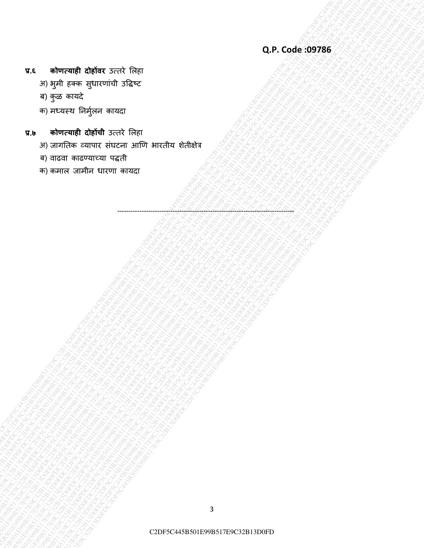- **प्र.६ कोणत्याही दोहोंवर** उत्तिे ललहा
	- अ) भुमी हक्क सुधारणांची उद्धिष्ट
	- ब) कुळ कार्दे
	- क) मध्यस्थ निर्मुलन कायदा
- **प्र.७ कोणत्याही दोहोंची** उत्तिे ललहा
- C2DF5C445B501E99B517E9C32B13D0FDC2DF5C445B501E99B517E9C32B13D0FDC2DF5C445B501E99B517E9C32B13D0FDC2DF5C445B501E99B517E9C32B13D0FDC2DF5C445B501E99B517E9C32B13D0FDC2DF5C445B501E99B517E9C32B13D0FD C2DF5C445B501E99B517E9C32B13D0FDC2DF5C445B501E99B517E9C32B13D0FDC2DF5C445B501E99B517E9C32B13D0FDC2DF5C445B501E99B517E9C32B13D0FDC2DF5C445B501E99B517E9C32B13D0FDC2DF5C445B501E99B517E9C32B13D0FD CLADFFFEED CORE COTTES |<br>C2DF5C445 B501F01E9FEER<br>T1 Specifical B501F12D0FB STarts<br>T1 Specifical B501F12D0FB STarts<br>T1 Specifical B501F12D0FB STarts<br>T1 Specifical B501F12D0FB STarts and Conservations<br>T1 Specifical B501F12D0 C2DF5C445B501E99B517E9C32B13D0FDC2DF5C445B501E99B517E9C32B13D0FDC2DF5C445B501E99B517E9C32B13D0FDC2DF5C445B501E99B517E9C32B13D0FDC2DF5C445B501E99B517E9C32B13D0FDC2DF5C445B501E99B517E9C32B13D0FD C2DF5C445B501E99B517E9C32B13D0FDC2DF5C445B501E99B517E9C32B13D0FDC2DF5C445B501E99B517E9C32B13D0FDC2DF5C445B501E99B517E9C32B13D0FDC2DF5C445B501E99B517E9C32B13D0FDC2DF5C445B501E99B517E9C32B13D0FD C2DF5C445B501E99B517E9C32B13D0FDC2DF5C445B501E99B517E9C32B13D0FDC2DF5C445B501E99B517E9C32B13D0FDC2DF5C445B501E99B517E9C32B13D0FDC2DF5C445B501E99B517E9C32B13D0FDC2DF5C445B501E99B517E9C32B13D0FD C2DF5C445B501E99B517E9C32B13D0FDC2DF5C445B501E99B517E9C32B13D0FDC2DF5C445B501E99B517E9C32B13D0FDC2DF5C445B501E99B517E9C32B13D0FDC2DF5C445B501E99B517E9C32B13D0FDC2DF5C445B501E99B517E9C32B13D0FD C2DF5C445B501E99B517E9C32B13D0FDC2DF5C445B501E99B517E9C32B13D0FDC2DF5C445B501E99B517E9C32B13D0FDC2DF5C445B501E99B517E9C32B13D0FDC2DF5C445B501E99B517E9C32B13D0FDC2DF5C445B501E99B517E9C32B13D0FD C2DF5C445B501E99B517E9C32B13D0FDC2DF5C445B501E99B517E9C32B13D0FDC2DF5C445B501E99B517E9C32B13D0FDC2DF5C445B501E99B517E9C32B13D0FDC2DF5C445B501E99B517E9C32B13D0FDC2DF5C445B501E99B517E9C32B13D0FD C2DF5C445B501E99B517E9C32B13D0FDC2DF5C445B501E99B517E9C32B13D0FDC2DF5C445B501E99B517E9C32B13D0FDC2DF5C445B501E99B517E9C32B13D0FDC2DF5C445B501E99B517E9C32B13D0FDC2DF5C445B501E99B517E9C32B13D0FD C2DF5C445B501E99B517E9C32B13D0FDC2DF5C445B501E99B517E9C32B13D0FDC2DF5C445B501E99B517E9C32B13D0FDC2DF5C445B501E99B517E9C32B13D0FDC2DF5C445B501E99B517E9C32B13D0FDC2DF5C445B501E99B517E9C32B13D0FD C2DF5C445B501E99B517E9C32B13D0FDC2DF5C445B501E99B517E9C32B13D0FDC2DF5C445B501E99B517E9C32B13D0FDC2DF5C445B501E99B517E9C32B13D0FDC2DF5C445B501E99B517E9C32B13D0FDC2DF5C445B501E99B517E9C32B13D0FD C2DF5C445B501E99B517E9C32B13D0FDC2DF5C445B501E99B517E9C32B13D0FDC2DF5C445B501E99B517E9C32B13D0FDC2DF5C445B501E99B517E9C32B13D0FDC2DF5C445B501E99B517E9C32B13D0FDC2DF5C445B501E99B517E9C32B13D0FD C2DF5C445B501E99B517E9C32B13D0FDC2DF5C445B501E99B517E9C32B13D0FDC2DF5C445B501E99B517E9C32B13D0FDC2DF5C445B501E99B517E9C32B13D0FDC2DF5C445B501E99B517E9C32B13D0FDC2DF5C445B501E99B517E9C32B13D0FD C2DF5C445B501E99B517E9C32B13D0FDC2DF5C445B501E99B517E9C32B13D0FDC2DF5C445B501E99B517E9C32B13D0FDC2DF5C445B501E99B517E9C32B13D0FDC2DF5C445B501E99B517E9C32B13D0FDC2DF5C445B501E99B517E9C32B13D0FD CL SURFEREN GUNDER 7575 FREE<br>
P. S. P. S. P. S. CORE. 1999B517E9C45B517E9C45<br>P. S. P. S. P. S. P. S. CORE. 1999B517E9C45<br>P. S. P. S. P. S. P. S. CORE. 1999B517E9C45<br>P. S. P. S. P. S. P. S. P. S. P. S. P. S. P. S. P. S. P. C2DF5C445B501E99B517E9C32B13D0FDC2DF5C445B501E99B517E9C32B13D0FDC2DF5C445B501E99B517E9C32B13D0FDC2DF5C445B501E99B517E9C32B13D0FDC2DF5C445B501E99B517E9C32B13D0FDC2DF5C445B501E99B517E9C32B13D0FD C2DF5C445B501E99B517E9C32B13D0FDC2DF5C445B501E99B517E9C32B13D0FDC2DF5C445B501E99B517E9C32B13D0FDC2DF5C445B501E99B517E9C32B13D0FDC2DF5C445B501E99B517E9C32B13D0FDC2DF5C445B501E99B517E9C32B13D0FD C2<br>
THE TIPS CHEME TO PRINT THE TIPS CHEME TO PRINT THE TIPS CORE<br>
THE TIPS CHEME TO PRINT THE TIPS CHEME TO PRINT THE TIPS CHEME TO PRINT THE TIPS CHEME TO PRINT THE TIPS CHEME<br>
THE TIPS CHEME TO PRINT THE TIPS CHEME TO P C2DF5C445B501E99B517E9C32B13D0FDC2DF5C445B501E99B517E9C32B13D0FDC2DF5C445B501E99B517E9C32B13D0FDC2DF5C445B501E99B517E9C32B13D0FDC2DF5C445B501E99B517E9C32B13D0FDC2DF5C445B501E99B517E9C32B13D0FD अ) जागतिक व्यापार संघटना आणि भारतीय शेतीक्षेत्र

--------------------------------------------------------------------------------

- ब) वाढवा काढण्र्ाच्र्ा पद्ती
- क) कमाल जामीन धािणा कार्दा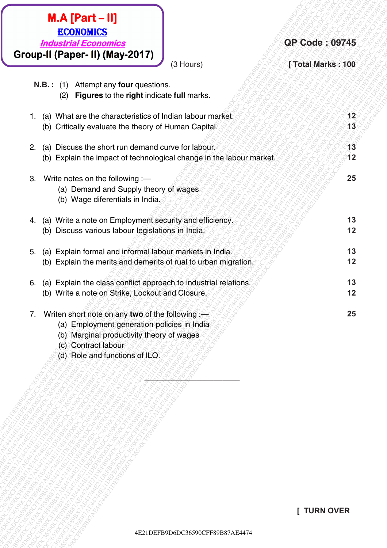| $M.A$ [Part - II]<br><b>ECONOMICS</b><br><b>Industrial Economics</b><br>Group-II (Paper- II) (May-2017)                                                                                                     | <b>QP Code: 09745</b> |
|-------------------------------------------------------------------------------------------------------------------------------------------------------------------------------------------------------------|-----------------------|
| (3 Hours)<br>N.B.: (1)<br>Attempt any four questions.<br>Figures to the right indicate full marks.<br>(2)                                                                                                   | [Total Marks: 100     |
| (a) What are the characteristics of Indian labour market.<br>1.<br>(b) Critically evaluate the theory of Human Capital.                                                                                     | 12<br>13              |
| Discuss the short run demand curve for labour.<br>2.<br>(a)<br>(b) Explain the impact of technological change in the labour market.                                                                         | 13<br>12              |
| Write notes on the following :-<br>3.<br>(a) Demand and Supply theory of wages<br>(b) Wage diferentials in India.                                                                                           | 25                    |
| (a) Write a note on Employment security and efficiency.<br>4.<br>(b) Discuss various labour legislations in India.                                                                                          | 13<br>12              |
| (a) Explain formal and informal labour markets in India.<br>5.<br>(b) Explain the merits and demerits of rual to urban migration.                                                                           | 13<br>12              |
| (a) Explain the class conflict approach to industrial relations.<br>6.<br>(b) Write a note on Strike, Lockout and Closure.                                                                                  | 13<br>12              |
| Writen short note on any two of the following :-<br>7.<br>(a) Employment generation policies in India<br>(b) Marginal productivity theory of wages<br>(c) Contract labour<br>(d) Role and functions of ILO. | 25                    |
|                                                                                                                                                                                                             |                       |
|                                                                                                                                                                                                             |                       |
|                                                                                                                                                                                                             | <b>[ TURN OVER</b>    |
| 4E21DEFB9D6DC36590CFF89B87AE4474                                                                                                                                                                            |                       |